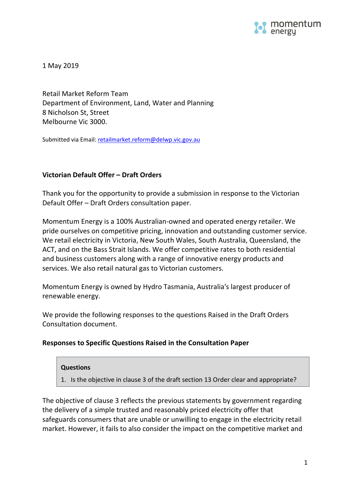

1 May 2019

Retail Market Reform Team Department of Environment, Land, Water and Planning 8 Nicholson St, Street Melbourne Vic 3000.

Submitted via Email: [retailmarket.reform@delwp.vic.gov.au](mailto:retailmarket.reform@delwp.vic.gov.au)

# **Victorian Default Offer – Draft Orders**

Thank you for the opportunity to provide a submission in response to the Victorian Default Offer – Draft Orders consultation paper.

Momentum Energy is a 100% Australian-owned and operated energy retailer. We pride ourselves on competitive pricing, innovation and outstanding customer service. We retail electricity in Victoria, New South Wales, South Australia, Queensland, the ACT, and on the Bass Strait Islands. We offer competitive rates to both residential and business customers along with a range of innovative energy products and services. We also retail natural gas to Victorian customers.

Momentum Energy is owned by [Hydro Tasmania,](http://www.momentumenergy.com.au/about-us/hydro-tasmania-group) Australia's largest producer of renewable energy.

We provide the following responses to the questions Raised in the Draft Orders Consultation document.

# **Responses to Specific Questions Raised in the Consultation Paper**

#### **Questions**

1. Is the objective in clause 3 of the draft section 13 Order clear and appropriate?

The objective of clause 3 reflects the previous statements by government regarding the delivery of a simple trusted and reasonably priced electricity offer that safeguards consumers that are unable or unwilling to engage in the electricity retail market. However, it fails to also consider the impact on the competitive market and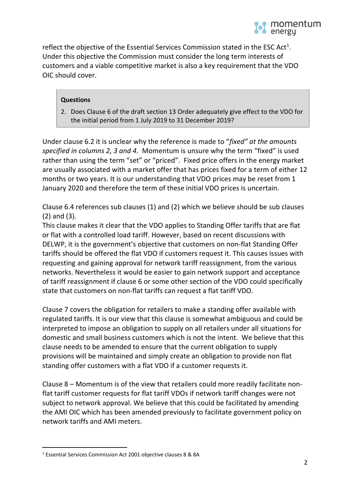reflect the objective of the Essential Services Commission stated in the ESC Act<sup>1</sup>. Under this objective the Commission must consider the long term interests of customers and a viable competitive market is also a key requirement that the VDO OIC should cover.

# **Questions**

2. Does Clause 6 of the draft section 13 Order adequately give effect to the VDO for the initial period from 1 July 2019 to 31 December 2019?

Under clause 6.2 it is unclear why the reference is made to "*fixed" at the amounts specified in columns 2, 3 and 4.* Momentum is unsure why the term "fixed" is used rather than using the term "set" or "priced". Fixed price offers in the energy market are usually associated with a market offer that has prices fixed for a term of either 12 months or two years. It is our understanding that VDO prices may be reset from 1 January 2020 and therefore the term of these initial VDO prices is uncertain.

Clause 6.4 references sub clauses (1) and (2) which we believe should be sub clauses (2) and (3).

This clause makes it clear that the VDO applies to Standing Offer tariffs that are flat or flat with a controlled load tariff. However, based on recent discussions with DELWP, it is the government's objective that customers on non-flat Standing Offer tariffs should be offered the flat VDO if customers request it. This causes issues with requesting and gaining approval for network tariff reassignment, from the various networks. Nevertheless it would be easier to gain network support and acceptance of tariff reassignment if clause 6 or some other section of the VDO could specifically state that customers on non-flat tariffs can request a flat tariff VDO.

Clause 7 covers the obligation for retailers to make a standing offer available with regulated tariffs. It is our view that this clause is somewhat ambiguous and could be interpreted to impose an obligation to supply on all retailers under all situations for domestic and small business customers which is not the intent. We believe that this clause needs to be amended to ensure that the current obligation to supply provisions will be maintained and simply create an obligation to provide non flat standing offer customers with a flat VDO if a customer requests it.

Clause 8 – Momentum is of the view that retailers could more readily facilitate nonflat tariff customer requests for flat tariff VDOs if network tariff changes were not subject to network approval. We believe that this could be facilitated by amending the AMI OIC which has been amended previously to facilitate government policy on network tariffs and AMI meters.

 $\overline{a}$ 

<sup>1</sup> Essential Services Commission Act 2001 objective clauses 8 & 8A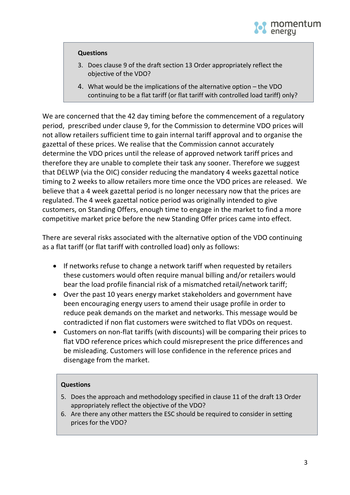

#### **Questions**

- 3. Does clause 9 of the draft section 13 Order appropriately reflect the objective of the VDO?
- 4. What would be the implications of the alternative option the VDO continuing to be a flat tariff (or flat tariff with controlled load tariff) only?

We are concerned that the 42 day timing before the commencement of a regulatory period, prescribed under clause 9, for the Commission to determine VDO prices will not allow retailers sufficient time to gain internal tariff approval and to organise the gazettal of these prices. We realise that the Commission cannot accurately determine the VDO prices until the release of approved network tariff prices and therefore they are unable to complete their task any sooner. Therefore we suggest that DELWP (via the OIC) consider reducing the mandatory 4 weeks gazettal notice timing to 2 weeks to allow retailers more time once the VDO prices are released. We believe that a 4 week gazettal period is no longer necessary now that the prices are regulated. The 4 week gazettal notice period was originally intended to give customers, on Standing Offers, enough time to engage in the market to find a more competitive market price before the new Standing Offer prices came into effect.

There are several risks associated with the alternative option of the VDO continuing as a flat tariff (or flat tariff with controlled load) only as follows:

- If networks refuse to change a network tariff when requested by retailers these customers would often require manual billing and/or retailers would bear the load profile financial risk of a mismatched retail/network tariff;
- Over the past 10 years energy market stakeholders and government have been encouraging energy users to amend their usage profile in order to reduce peak demands on the market and networks. This message would be contradicted if non flat customers were switched to flat VDOs on request.
- Customers on non-flat tariffs (with discounts) will be comparing their prices to flat VDO reference prices which could misrepresent the price differences and be misleading. Customers will lose confidence in the reference prices and disengage from the market.

# **Questions**

- 5. Does the approach and methodology specified in clause 11 of the draft 13 Order appropriately reflect the objective of the VDO?
- 6. Are there any other matters the ESC should be required to consider in setting prices for the VDO?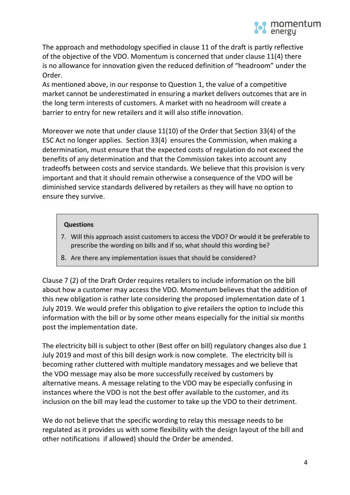The approach and methodology specified in clause 11 of the draft is partly reflective of the objective of the VDO. Momentum is concerned that under clause 11(4) there is no allowance for innovation given the reduced definition of "headroom" under the Order.

As mentioned above, in our response to Question 1, the value of a competitive market cannot be underestimated in ensuring a market delivers outcomes that are in the long term interests of customers. A market with no headroom will create a barrier to entry for new retailers and it will also stifle innovation.

Moreover we note that under clause 11(10) of the Order that Section 33(4) of the ESC Act no longer applies. Section 33(4) ensures the Commission, when making a determination, must ensure that the expected costs of regulation do not exceed the benefits of any determination and that the Commission takes into account any tradeoffs between costs and service standards. We believe that this provision is very important and that it should remain otherwise a consequence of the VDO will be diminished service standards delivered by retailers as they will have no option to ensure they survive.

# **Questions**

- 7. Will this approach assist customers to access the VDO? Or would it be preferable to prescribe the wording on bills and if so, what should this wording be?
- 8. Are there any implementation issues that should be considered?

Clause 7 (2) of the Draft Order requires retailers to include information on the bill about how a customer may access the VDO. Momentum believes that the addition of this new obligation is rather late considering the proposed implementation date of 1 July 2019. We would prefer this obligation to give retailers the option to include this information with the bill or by some other means especially for the initial six months post the implementation date.

The electricity bill is subject to other (Best offer on bill) regulatory changes also due 1 July 2019 and most of this bill design work is now complete. The electricity bill is becoming rather cluttered with multiple mandatory messages and we believe that the VDO message may also be more successfully received by customers by alternative means. A message relating to the VDO may be especially confusing in instances where the VDO is not the best offer available to the customer, and its inclusion on the bill may lead the customer to take up the VDO to their detriment.

We do not believe that the specific wording to relay this message needs to be regulated as it provides us with some flexibility with the design layout of the bill and other notifications if allowed) should the Order be amended.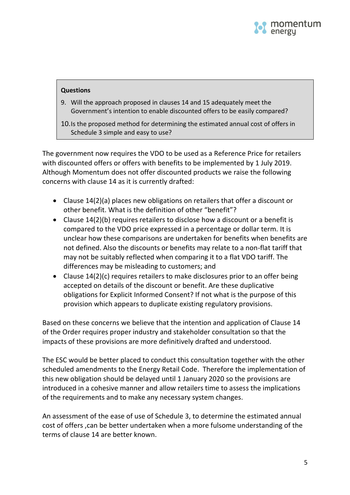

# **Questions**

- 9. Will the approach proposed in clauses 14 and 15 adequately meet the Government's intention to enable discounted offers to be easily compared?
- 10.Is the proposed method for determining the estimated annual cost of offers in Schedule 3 simple and easy to use?

The government now requires the VDO to be used as a Reference Price for retailers with discounted offers or offers with benefits to be implemented by 1 July 2019. Although Momentum does not offer discounted products we raise the following concerns with clause 14 as it is currently drafted:

- Clause 14(2)(a) places new obligations on retailers that offer a discount or other benefit. What is the definition of other "benefit"?
- Clause 14(2)(b) requires retailers to disclose how a discount or a benefit is compared to the VDO price expressed in a percentage or dollar term. It is unclear how these comparisons are undertaken for benefits when benefits are not defined. Also the discounts or benefits may relate to a non-flat tariff that may not be suitably reflected when comparing it to a flat VDO tariff. The differences may be misleading to customers; and
- Clause 14(2)(c) requires retailers to make disclosures prior to an offer being accepted on details of the discount or benefit. Are these duplicative obligations for Explicit Informed Consent? If not what is the purpose of this provision which appears to duplicate existing regulatory provisions.

Based on these concerns we believe that the intention and application of Clause 14 of the Order requires proper industry and stakeholder consultation so that the impacts of these provisions are more definitively drafted and understood.

The ESC would be better placed to conduct this consultation together with the other scheduled amendments to the Energy Retail Code. Therefore the implementation of this new obligation should be delayed until 1 January 2020 so the provisions are introduced in a cohesive manner and allow retailers time to assess the implications of the requirements and to make any necessary system changes.

An assessment of the ease of use of Schedule 3, to determine the estimated annual cost of offers ,can be better undertaken when a more fulsome understanding of the terms of clause 14 are better known.